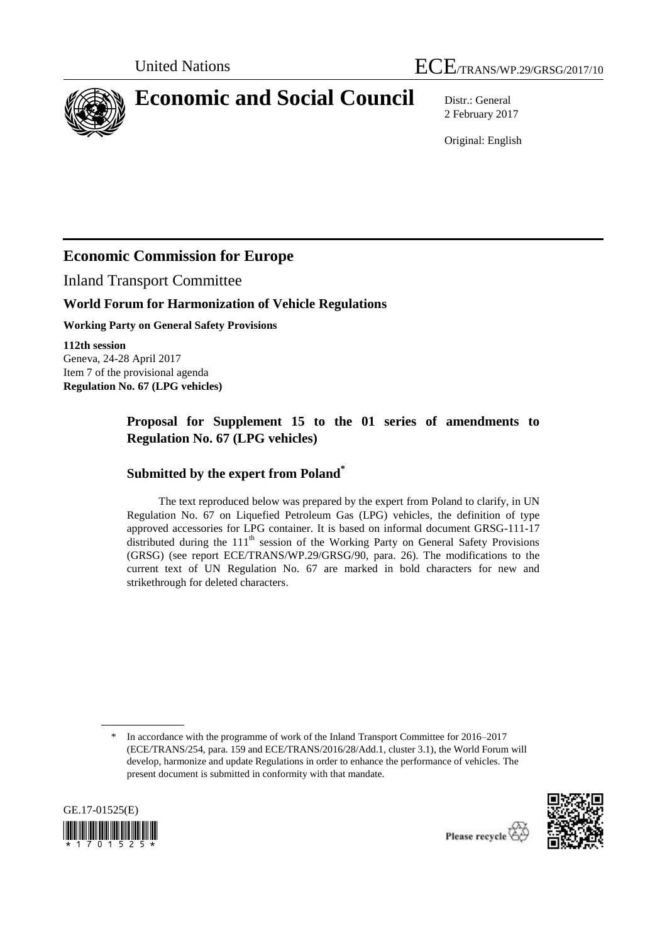



# **Economic and Social Council** Distr.: General

2 February 2017

Original: English

# **Economic Commission for Europe**

Inland Transport Committee

## **World Forum for Harmonization of Vehicle Regulations**

**Working Party on General Safety Provisions**

**112th session** Geneva, 24-28 April 2017 Item 7 of the provisional agenda **Regulation No. 67 (LPG vehicles)**

# **Proposal for Supplement 15 to the 01 series of amendments to Regulation No. 67 (LPG vehicles)**

# **Submitted by the expert from Poland\***

The text reproduced below was prepared by the expert from Poland to clarify, in UN Regulation No. 67 on Liquefied Petroleum Gas (LPG) vehicles, the definition of type approved accessories for LPG container. It is based on informal document GRSG-111-17 distributed during the  $111<sup>th</sup>$  session of the Working Party on General Safety Provisions (GRSG) (see report ECE/TRANS/WP.29/GRSG/90, para. 26). The modifications to the current text of UN Regulation No. 67 are marked in bold characters for new and strikethrough for deleted characters.

In accordance with the programme of work of the Inland Transport Committee for 2016–2017 (ECE/TRANS/254, para. 159 and ECE/TRANS/2016/28/Add.1, cluster 3.1), the World Forum will develop, harmonize and update Regulations in order to enhance the performance of vehicles. The present document is submitted in conformity with that mandate.



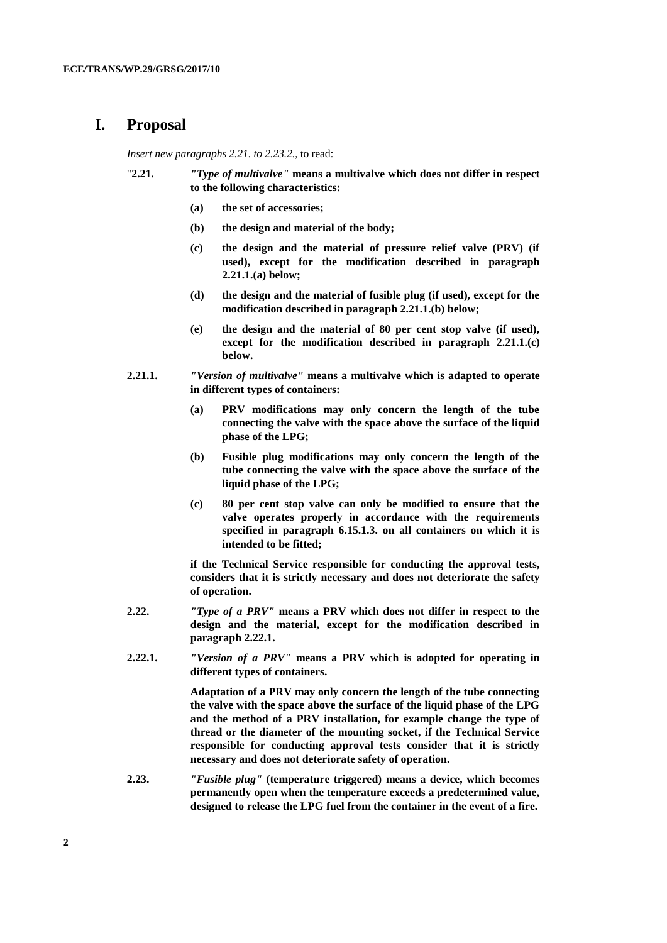### **I. Proposal**

*Insert new paragraphs 2.21. to 2.23.2.*, to read:

- "**2.21.** *"Type of multivalve"* **means a multivalve which does not differ in respect to the following characteristics:**
	- **(a) the set of accessories;**
	- **(b) the design and material of the body;**
	- **(c) the design and the material of pressure relief valve (PRV) (if used), except for the modification described in paragraph 2.21.1.(a) below;**
	- **(d) the design and the material of fusible plug (if used), except for the modification described in paragraph 2.21.1.(b) below;**
	- **(e) the design and the material of 80 per cent stop valve (if used), except for the modification described in paragraph 2.21.1.(c) below.**
- **2.21.1.** *"Version of multivalve"* **means a multivalve which is adapted to operate in different types of containers:**
	- **(a) PRV modifications may only concern the length of the tube connecting the valve with the space above the surface of the liquid phase of the LPG;**
	- **(b) Fusible plug modifications may only concern the length of the tube connecting the valve with the space above the surface of the liquid phase of the LPG;**
	- **(c) 80 per cent stop valve can only be modified to ensure that the valve operates properly in accordance with the requirements specified in paragraph 6.15.1.3. on all containers on which it is intended to be fitted;**

**if the Technical Service responsible for conducting the approval tests, considers that it is strictly necessary and does not deteriorate the safety of operation.**

- **2.22.** *"Type of a PRV"* **means a PRV which does not differ in respect to the design and the material, except for the modification described in paragraph 2.22.1.**
- **2.22.1.** *"Version of a PRV"* **means a PRV which is adopted for operating in different types of containers.**

**Adaptation of a PRV may only concern the length of the tube connecting the valve with the space above the surface of the liquid phase of the LPG and the method of a PRV installation, for example change the type of thread or the diameter of the mounting socket, if the Technical Service responsible for conducting approval tests consider that it is strictly necessary and does not deteriorate safety of operation.**

**2.23.** *"Fusible plug"* **(temperature triggered) means a device, which becomes permanently open when the temperature exceeds a predetermined value, designed to release the LPG fuel from the container in the event of a fire.**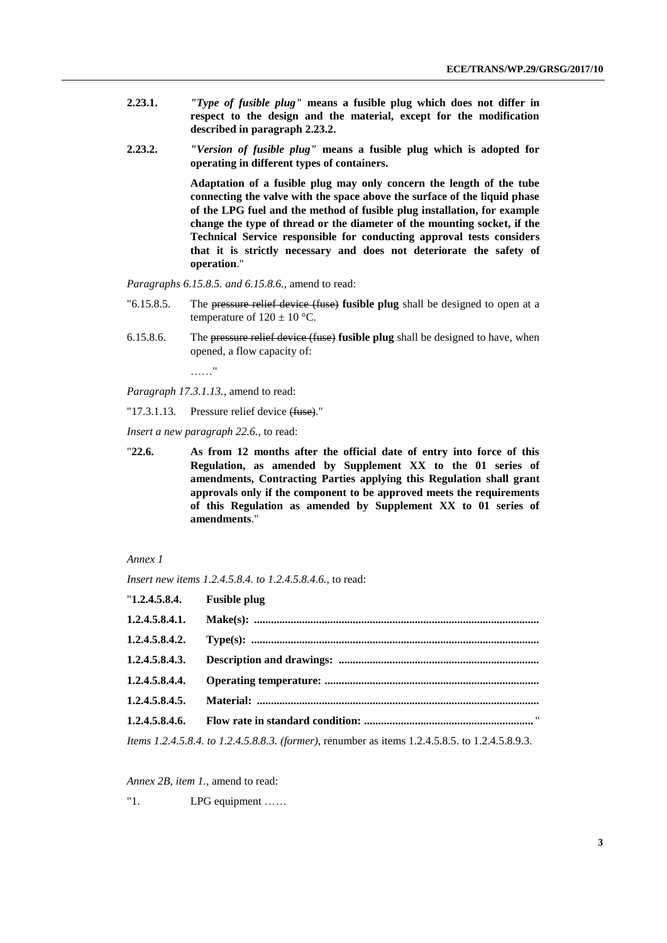- **2.23.1.** *"Type of fusible plug"* **means a fusible plug which does not differ in respect to the design and the material, except for the modification described in paragraph 2.23.2.**
- **2.23.2.** *"Version of fusible plug"* **means a fusible plug which is adopted for operating in different types of containers.**

**Adaptation of a fusible plug may only concern the length of the tube connecting the valve with the space above the surface of the liquid phase of the LPG fuel and the method of fusible plug installation, for example change the type of thread or the diameter of the mounting socket, if the Technical Service responsible for conducting approval tests considers that it is strictly necessary and does not deteriorate the safety of operation**."

*Paragraphs 6.15.8.5. and 6.15.8.6.,* amend to read:

- "6.15.8.5. The pressure relief device (fuse) **fusible plug** shall be designed to open at a temperature of  $120 \pm 10$  °C.
- 6.15.8.6. The pressure relief device (fuse) **fusible plug** shall be designed to have, when opened, a flow capacity of:

……"

*Paragraph 17.3.1.13.*, amend to read:

"17.3.1.13. Pressure relief device (fuse)."

*Insert a new paragraph 22.6.*, to read:

"**22.6. As from 12 months after the official date of entry into force of this Regulation, as amended by Supplement XX to the 01 series of amendments, Contracting Parties applying this Regulation shall grant approvals only if the component to be approved meets the requirements of this Regulation as amended by Supplement XX to 01 series of amendments**."

#### *Annex 1*

*Insert new items 1.2.4.5.8.4. to 1.2.4.5.8.4.6.,* to read:

| " $1.2.4.5.8.4.$ Fusible plug |  |
|-------------------------------|--|
| 1.2.4.5.8.4.1.                |  |
|                               |  |
| 1.2.4.5.8.4.3.                |  |
|                               |  |
| 1.2.4.5.8.4.5.                |  |
|                               |  |
|                               |  |

*Items 1.2.4.5.8.4. to 1.2.4.5.8.8.3. (former)*, renumber as items 1.2.4.5.8.5. to 1.2.4.5.8.9.3.

*Annex 2B, item 1.*, amend to read:

"1. LPG equipment ……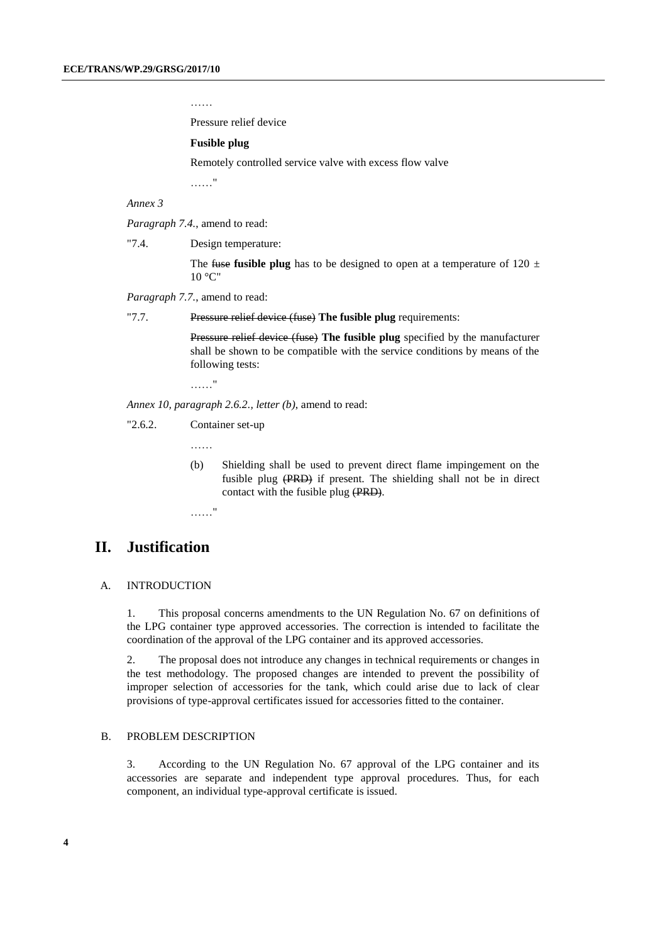……

Pressure relief device

#### **Fusible plug**

Remotely controlled service valve with excess flow valve

……"

#### *Annex 3*

*Paragraph 7.4.*, amend to read:

"7.4. Design temperature:

The fuse fusible plug has to be designed to open at a temperature of  $120 \pm 120$ 10 °C"

*Paragraph 7.7.*, amend to read:

"7.7. Pressure relief device (fuse) **The fusible plug** requirements:

Pressure relief device (fuse) **The fusible plug** specified by the manufacturer shall be shown to be compatible with the service conditions by means of the following tests:

……"

*Annex 10, paragraph 2.6.2., letter (b)*, amend to read:

"2.6.2. Container set-up

……

(b) Shielding shall be used to prevent direct flame impingement on the fusible plug (PRD) if present. The shielding shall not be in direct contact with the fusible plug (PRD).

……"

# **II. Justification**

#### A. INTRODUCTION

1. This proposal concerns amendments to the UN Regulation No. 67 on definitions of the LPG container type approved accessories. The correction is intended to facilitate the coordination of the approval of the LPG container and its approved accessories.

2. The proposal does not introduce any changes in technical requirements or changes in the test methodology. The proposed changes are intended to prevent the possibility of improper selection of accessories for the tank, which could arise due to lack of clear provisions of type-approval certificates issued for accessories fitted to the container.

#### B. PROBLEM DESCRIPTION

3. According to the UN Regulation No. 67 approval of the LPG container and its accessories are separate and independent type approval procedures. Thus, for each component, an individual type-approval certificate is issued.